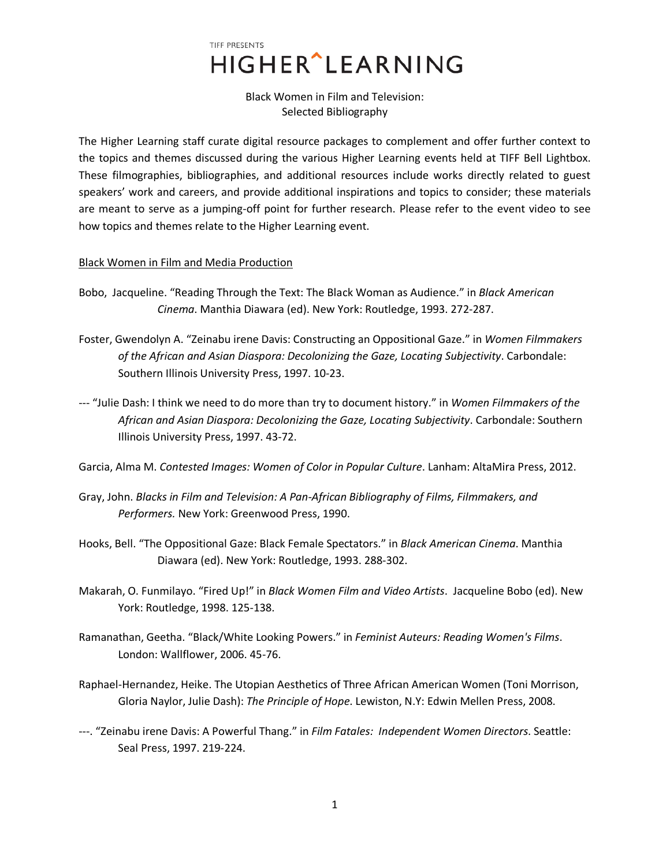Black Women in Film and Television: Selected Bibliography

The Higher Learning staff curate digital resource packages to complement and offer further context to the topics and themes discussed during the various Higher Learning events held at TIFF Bell Lightbox. These filmographies, bibliographies, and additional resources include works directly related to guest speakers' work and careers, and provide additional inspirations and topics to consider; these materials are meant to serve as a jumping-off point for further research. Please refer to the event video to see how topics and themes relate to the Higher Learning event.

## Black Women in Film and Media Production

- Bobo, Jacqueline. "Reading Through the Text: The Black Woman as Audience." in *Black American Cinema*. Manthia Diawara (ed). New York: Routledge, 1993. 272-287.
- Foster, Gwendolyn A. "Zeinabu irene Davis: Constructing an Oppositional Gaze." in *Women Filmmakers of the African and Asian Diaspora: Decolonizing the Gaze, Locating Subjectivity*. Carbondale: Southern Illinois University Press, 1997. 10-23.
- --- "Julie Dash: I think we need to do more than try to document history." in *Women Filmmakers of the African and Asian Diaspora: Decolonizing the Gaze, Locating Subjectivity*. Carbondale: Southern Illinois University Press, 1997. 43-72.

Garcia, Alma M. *Contested Images: Women of Color in Popular Culture*. Lanham: AltaMira Press, 2012.

- Gray, John. *Blacks in Film and Television: A Pan-African Bibliography of Films, Filmmakers, and Performers.* New York: Greenwood Press, 1990.
- Hooks, Bell. "The Oppositional Gaze: Black Female Spectators." in *Black American Cinema*. Manthia Diawara (ed). New York: Routledge, 1993. 288-302.
- Makarah, O. Funmilayo. "Fired Up!" in *Black Women Film and Video Artists*. Jacqueline Bobo (ed). New York: Routledge, 1998. 125-138.
- Ramanathan, Geetha. "Black/White Looking Powers." in *Feminist Auteurs: Reading Women's Films*. London: Wallflower, 2006. 45-76.
- Raphael-Hernandez, Heike. The Utopian Aesthetics of Three African American Women (Toni Morrison, Gloria Naylor, Julie Dash): *The Principle of Hope*. Lewiston, N.Y: Edwin Mellen Press, 2008.
- ---. "Zeinabu irene Davis: A Powerful Thang." in *Film Fatales: Independent Women Directors*. Seattle: Seal Press, 1997. 219-224.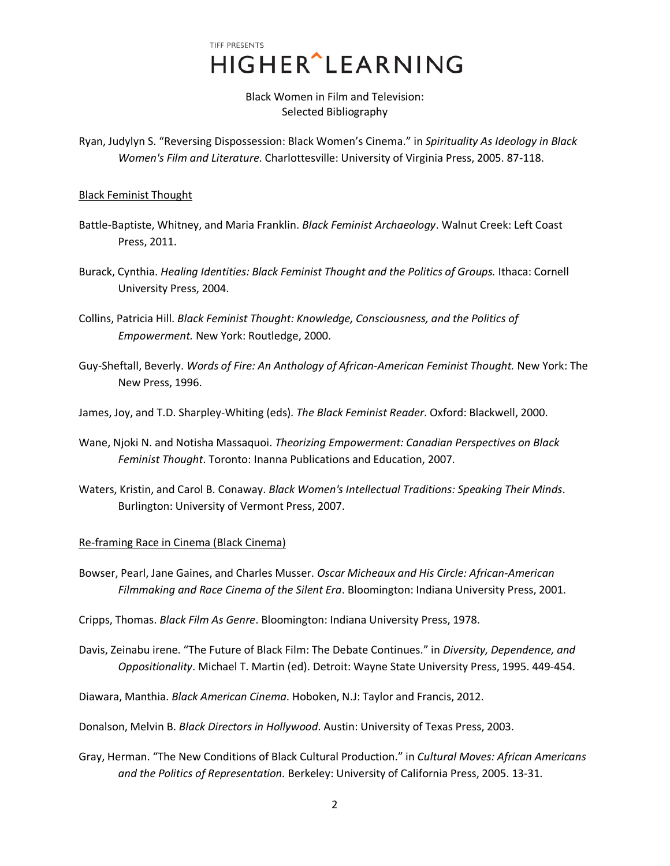Black Women in Film and Television: Selected Bibliography

Ryan, Judylyn S. "Reversing Dispossession: Black Women's Cinema." in *Spirituality As Ideology in Black Women's Film and Literature*. Charlottesville: University of Virginia Press, 2005. 87-118.

### Black Feminist Thought

- Battle-Baptiste, Whitney, and Maria Franklin. *Black Feminist Archaeology*. Walnut Creek: Left Coast Press, 2011.
- Burack, Cynthia. *Healing Identities: Black Feminist Thought and the Politics of Groups.* Ithaca: Cornell University Press, 2004.
- Collins, Patricia Hill. *Black Feminist Thought: Knowledge, Consciousness, and the Politics of Empowerment.* New York: Routledge, 2000.
- Guy-Sheftall, Beverly. *Words of Fire: An Anthology of African-American Feminist Thought.* New York: The New Press, 1996.
- James, Joy, and T.D. Sharpley-Whiting (eds). *The Black Feminist Reader*. Oxford: Blackwell, 2000.
- Wane, Njoki N. and Notisha Massaquoi. *Theorizing Empowerment: Canadian Perspectives on Black Feminist Thought*. Toronto: Inanna Publications and Education, 2007.
- Waters, Kristin, and Carol B. Conaway. *Black Women's Intellectual Traditions: Speaking Their Minds*. Burlington: University of Vermont Press, 2007.

## Re-framing Race in Cinema (Black Cinema)

Bowser, Pearl, Jane Gaines, and Charles Musser. *Oscar Micheaux and His Circle: African-American Filmmaking and Race Cinema of the Silent Era*. Bloomington: Indiana University Press, 2001.

Cripps, Thomas. *Black Film As Genre*. Bloomington: Indiana University Press, 1978.

Davis, Zeinabu irene. "The Future of Black Film: The Debate Continues." in *Diversity, Dependence, and Oppositionality*. Michael T. Martin (ed). Detroit: Wayne State University Press, 1995. 449-454.

Diawara, Manthia. *Black American Cinema*. Hoboken, N.J: Taylor and Francis, 2012.

Donalson, Melvin B. *Black Directors in Hollywood*. Austin: University of Texas Press, 2003.

Gray, Herman. "The New Conditions of Black Cultural Production." in *Cultural Moves: African Americans and the Politics of Representation.* Berkeley: University of California Press, 2005. 13-31.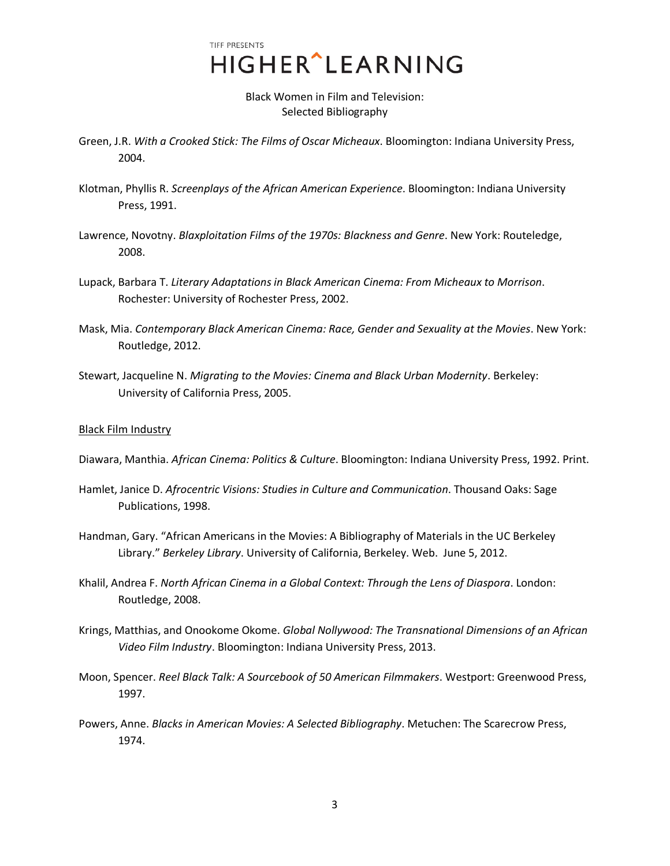Black Women in Film and Television: Selected Bibliography

- Green, J.R. *With a Crooked Stick: The Films of Oscar Micheaux*. Bloomington: Indiana University Press, 2004.
- Klotman, Phyllis R. *Screenplays of the African American Experience*. Bloomington: Indiana University Press, 1991.
- Lawrence, Novotny. *Blaxploitation Films of the 1970s: Blackness and Genre*. New York: Routeledge, 2008.
- Lupack, Barbara T. *Literary Adaptations in Black American Cinema: From Micheaux to Morrison*. Rochester: University of Rochester Press, 2002.
- Mask, Mia. *Contemporary Black American Cinema: Race, Gender and Sexuality at the Movies*. New York: Routledge, 2012.
- Stewart, Jacqueline N. *Migrating to the Movies: Cinema and Black Urban Modernity*. Berkeley: University of California Press, 2005.

### Black Film Industry

Diawara, Manthia. *African Cinema: Politics & Culture*. Bloomington: Indiana University Press, 1992. Print.

- Hamlet, Janice D. *Afrocentric Visions: Studies in Culture and Communication*. Thousand Oaks: Sage Publications, 1998.
- Handman, Gary. "African Americans in the Movies: A Bibliography of Materials in the UC Berkeley Library." *Berkeley Library*. University of California, Berkeley. Web. June 5, 2012.
- Khalil, Andrea F. *North African Cinema in a Global Context: Through the Lens of Diaspora*. London: Routledge, 2008.
- Krings, Matthias, and Onookome Okome. *Global Nollywood: The Transnational Dimensions of an African Video Film Industry*. Bloomington: Indiana University Press, 2013.
- Moon, Spencer. *Reel Black Talk: A Sourcebook of 50 American Filmmakers*. Westport: Greenwood Press, 1997.
- Powers, Anne. *Blacks in American Movies: A Selected Bibliography*. Metuchen: The Scarecrow Press, 1974.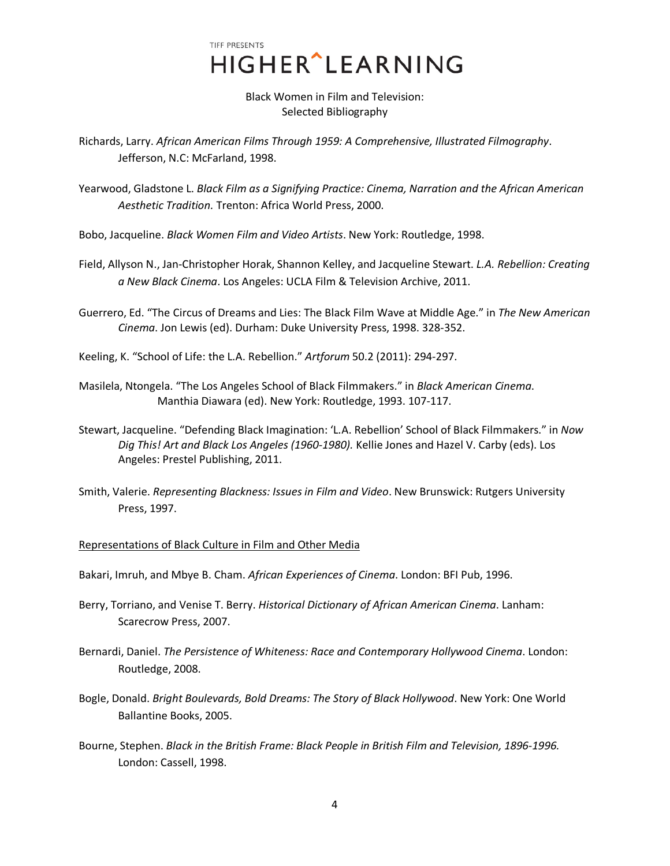> Black Women in Film and Television: Selected Bibliography

Richards, Larry. *African American Films Through 1959: A Comprehensive, Illustrated Filmography*. Jefferson, N.C: McFarland, 1998.

Yearwood, Gladstone L. *Black Film as a Signifying Practice: Cinema, Narration and the African American Aesthetic Tradition.* Trenton: Africa World Press, 2000.

Bobo, Jacqueline. *Black Women Film and Video Artists*. New York: Routledge, 1998.

- Field, Allyson N., Jan-Christopher Horak, Shannon Kelley, and Jacqueline Stewart. *L.A. Rebellion: Creating a New Black Cinema*. Los Angeles: UCLA Film & Television Archive, 2011.
- Guerrero, Ed. "The Circus of Dreams and Lies: The Black Film Wave at Middle Age." in *The New American Cinema*. Jon Lewis (ed). Durham: Duke University Press, 1998. 328-352.

Keeling, K. "School of Life: the L.A. Rebellion." *Artforum* 50.2 (2011): 294-297.

- Masilela, Ntongela. "The Los Angeles School of Black Filmmakers." in *Black American Cinema*. Manthia Diawara (ed). New York: Routledge, 1993. 107-117.
- Stewart, Jacqueline. "Defending Black Imagination: 'L.A. Rebellion' School of Black Filmmakers." in *Now Dig This! Art and Black Los Angeles (1960-1980).* Kellie Jones and Hazel V. Carby (eds). Los Angeles: Prestel Publishing, 2011.
- Smith, Valerie. *Representing Blackness: Issues in Film and Video*. New Brunswick: Rutgers University Press, 1997.

### Representations of Black Culture in Film and Other Media

Bakari, Imruh, and Mbye B. Cham. *African Experiences of Cinema*. London: BFI Pub, 1996.

- Berry, Torriano, and Venise T. Berry. *Historical Dictionary of African American Cinema*. Lanham: Scarecrow Press, 2007.
- Bernardi, Daniel. *The Persistence of Whiteness: Race and Contemporary Hollywood Cinema*. London: Routledge, 2008.
- Bogle, Donald. *Bright Boulevards, Bold Dreams: The Story of Black Hollywood*. New York: One World Ballantine Books, 2005.
- Bourne, Stephen. *Black in the British Frame: Black People in British Film and Television, 1896-1996.* London: Cassell, 1998.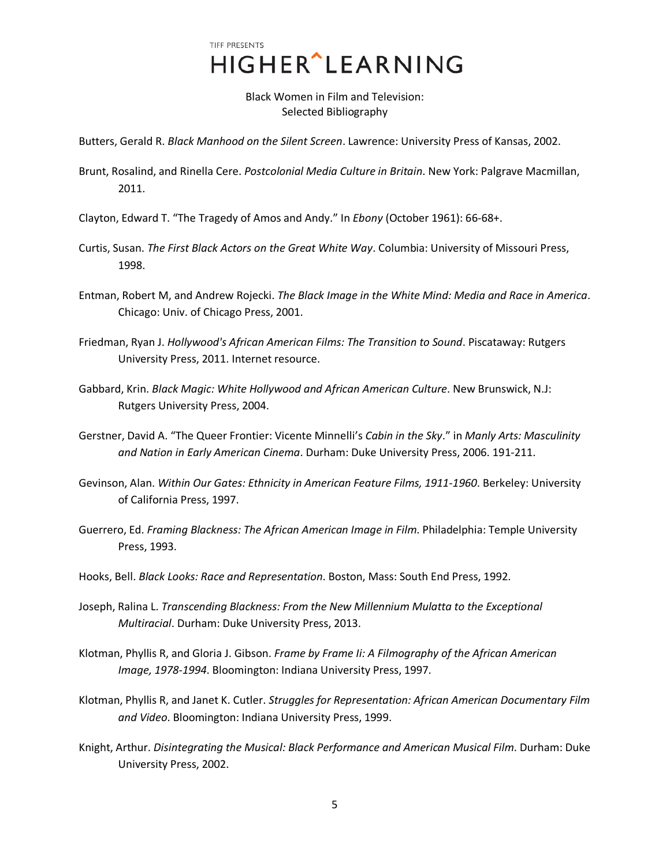Black Women in Film and Television: Selected Bibliography

Butters, Gerald R. *Black Manhood on the Silent Screen*. Lawrence: University Press of Kansas, 2002.

- Brunt, Rosalind, and Rinella Cere. *Postcolonial Media Culture in Britain*. New York: Palgrave Macmillan, 2011.
- Clayton, Edward T. "The Tragedy of Amos and Andy." In *Ebony* (October 1961): 66-68+.
- Curtis, Susan. *The First Black Actors on the Great White Way*. Columbia: University of Missouri Press, 1998.
- Entman, Robert M, and Andrew Rojecki. *The Black Image in the White Mind: Media and Race in America*. Chicago: Univ. of Chicago Press, 2001.
- Friedman, Ryan J. *Hollywood's African American Films: The Transition to Sound*. Piscataway: Rutgers University Press, 2011. Internet resource.
- Gabbard, Krin. *Black Magic: White Hollywood and African American Culture*. New Brunswick, N.J: Rutgers University Press, 2004.
- Gerstner, David A. "The Queer Frontier: Vicente Minnelli's *Cabin in the Sky*." in *Manly Arts: Masculinity and Nation in Early American Cinema*. Durham: Duke University Press, 2006. 191-211.
- Gevinson, Alan. *Within Our Gates: Ethnicity in American Feature Films, 1911-1960*. Berkeley: University of California Press, 1997.
- Guerrero, Ed. *Framing Blackness: The African American Image in Film*. Philadelphia: Temple University Press, 1993.
- Hooks, Bell. *Black Looks: Race and Representation*. Boston, Mass: South End Press, 1992.
- Joseph, Ralina L. *Transcending Blackness: From the New Millennium Mulatta to the Exceptional Multiracial*. Durham: Duke University Press, 2013.
- Klotman, Phyllis R, and Gloria J. Gibson. *Frame by Frame Ii: A Filmography of the African American Image, 1978-1994*. Bloomington: Indiana University Press, 1997.
- Klotman, Phyllis R, and Janet K. Cutler. *Struggles for Representation: African American Documentary Film and Video*. Bloomington: Indiana University Press, 1999.
- Knight, Arthur. *Disintegrating the Musical: Black Performance and American Musical Film*. Durham: Duke University Press, 2002.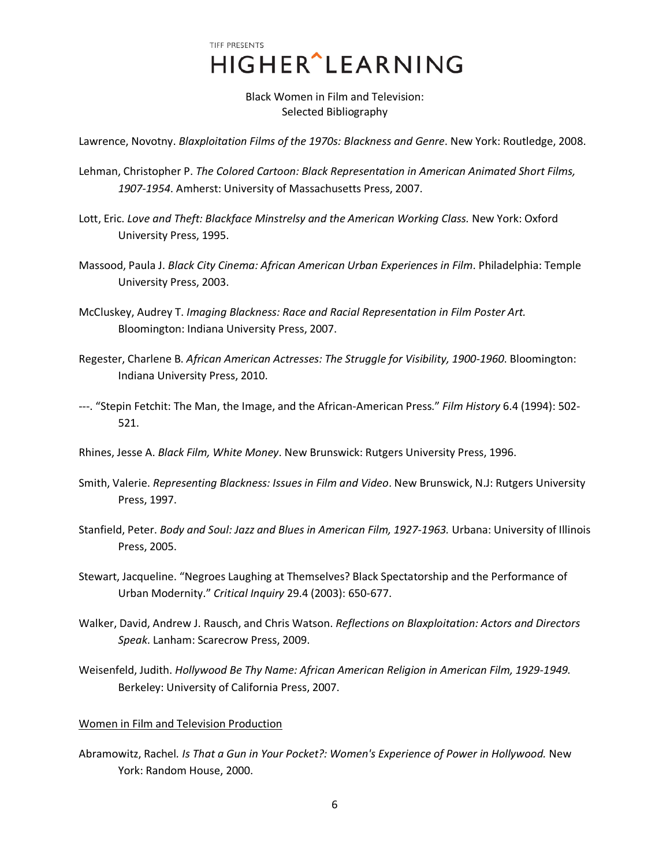> Black Women in Film and Television: Selected Bibliography

Lawrence, Novotny. *Blaxploitation Films of the 1970s: Blackness and Genre*. New York: Routledge, 2008.

- Lehman, Christopher P. *The Colored Cartoon: Black Representation in American Animated Short Films, 1907-1954*. Amherst: University of Massachusetts Press, 2007.
- Lott, Eric. *Love and Theft: Blackface Minstrelsy and the American Working Class.* New York: Oxford University Press, 1995.
- Massood, Paula J. *Black City Cinema: African American Urban Experiences in Film*. Philadelphia: Temple University Press, 2003.
- McCluskey, Audrey T. *Imaging Blackness: Race and Racial Representation in Film Poster Art.* Bloomington: Indiana University Press, 2007.
- Regester, Charlene B. *African American Actresses: The Struggle for Visibility, 1900-1960*. Bloomington: Indiana University Press, 2010.
- ---. "Stepin Fetchit: The Man, the Image, and the African-American Press." *Film History* 6.4 (1994): 502- 521.
- Rhines, Jesse A. *Black Film, White Money*. New Brunswick: Rutgers University Press, 1996.
- Smith, Valerie. *Representing Blackness: Issues in Film and Video*. New Brunswick, N.J: Rutgers University Press, 1997.
- Stanfield, Peter. *Body and Soul: Jazz and Blues in American Film, 1927-1963.* Urbana: University of Illinois Press, 2005.
- Stewart, Jacqueline. "Negroes Laughing at Themselves? Black Spectatorship and the Performance of Urban Modernity." *Critical Inquiry* 29.4 (2003): 650-677.
- Walker, David, Andrew J. Rausch, and Chris Watson. *Reflections on Blaxploitation: Actors and Directors Speak*. Lanham: Scarecrow Press, 2009.
- Weisenfeld, Judith. *Hollywood Be Thy Name: African American Religion in American Film, 1929-1949.* Berkeley: University of California Press, 2007.

### Women in Film and Television Production

Abramowitz, Rachel*. Is That a Gun in Your Pocket?: Women's Experience of Power in Hollywood.* New York: Random House, 2000.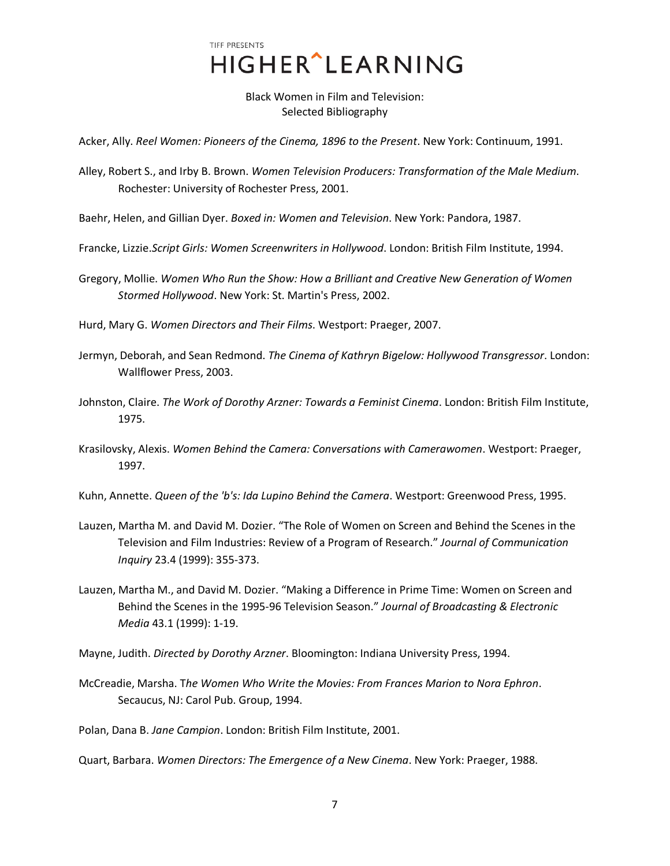# TIFF PRESENTS HIGHER^LEARNING

Black Women in Film and Television: Selected Bibliography

Acker, Ally. *Reel Women: Pioneers of the Cinema, 1896 to the Present*. New York: Continuum, 1991.

Alley, Robert S., and Irby B. Brown. *Women Television Producers: Transformation of the Male Medium*. Rochester: University of Rochester Press, 2001.

Baehr, Helen, and Gillian Dyer. *Boxed in: Women and Television*. New York: Pandora, 1987.

- Francke, Lizzie.*Script Girls: Women Screenwriters in Hollywood*. London: British Film Institute, 1994.
- Gregory, Mollie. *Women Who Run the Show: How a Brilliant and Creative New Generation of Women Stormed Hollywood*. New York: St. Martin's Press, 2002.

Hurd, Mary G. *Women Directors and Their Films*. Westport: Praeger, 2007.

- Jermyn, Deborah, and Sean Redmond. *The Cinema of Kathryn Bigelow: Hollywood Transgressor*. London: Wallflower Press, 2003.
- Johnston, Claire. *The Work of Dorothy Arzner: Towards a Feminist Cinema*. London: British Film Institute, 1975.
- Krasilovsky, Alexis. *Women Behind the Camera: Conversations with Camerawomen*. Westport: Praeger, 1997.
- Kuhn, Annette. *Queen of the 'b's: Ida Lupino Behind the Camera*. Westport: Greenwood Press, 1995.
- Lauzen, Martha M. and David M. Dozier. "The Role of Women on Screen and Behind the Scenes in the Television and Film Industries: Review of a Program of Research." *Journal of Communication Inquiry* 23.4 (1999): 355-373.
- Lauzen, Martha M., and David M. Dozier. "Making a Difference in Prime Time: Women on Screen and Behind the Scenes in the 1995-96 Television Season." *Journal of Broadcasting & Electronic Media* 43.1 (1999): 1-19.
- Mayne, Judith. *Directed by Dorothy Arzner*. Bloomington: Indiana University Press, 1994.
- McCreadie, Marsha. T*he Women Who Write the Movies: From Frances Marion to Nora Ephron*. Secaucus, NJ: Carol Pub. Group, 1994.

Polan, Dana B. *Jane Campion*. London: British Film Institute, 2001.

Quart, Barbara. *Women Directors: The Emergence of a New Cinema*. New York: Praeger, 1988.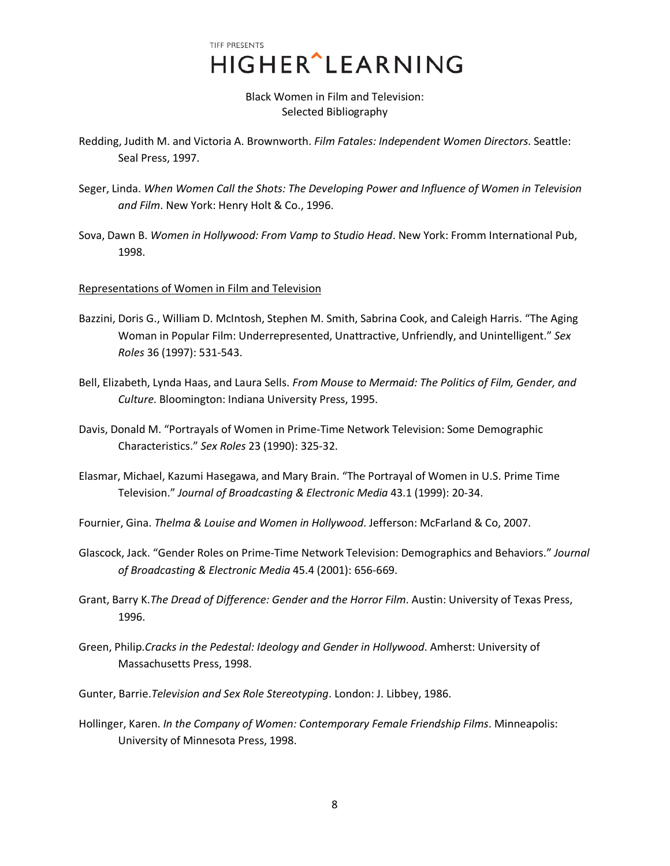Black Women in Film and Television: Selected Bibliography

- Redding, Judith M. and Victoria A. Brownworth. *Film Fatales: Independent Women Directors*. Seattle: Seal Press, 1997.
- Seger, Linda. *When Women Call the Shots: The Developing Power and Influence of Women in Television and Film*. New York: Henry Holt & Co., 1996.
- Sova, Dawn B. *Women in Hollywood: From Vamp to Studio Head*. New York: Fromm International Pub, 1998.

## Representations of Women in Film and Television

- Bazzini, Doris G., William D. McIntosh, Stephen M. Smith, Sabrina Cook, and Caleigh Harris. "The Aging Woman in Popular Film: Underrepresented, Unattractive, Unfriendly, and Unintelligent." *Sex Roles* 36 (1997): 531-543.
- Bell, Elizabeth, Lynda Haas, and Laura Sells. *From Mouse to Mermaid: The Politics of Film, Gender, and Culture*. Bloomington: Indiana University Press, 1995.
- Davis, Donald M. "Portrayals of Women in Prime-Time Network Television: Some Demographic Characteristics." *Sex Roles* 23 (1990): 325-32.
- Elasmar, Michael, Kazumi Hasegawa, and Mary Brain. "The Portrayal of Women in U.S. Prime Time Television." *Journal of Broadcasting & Electronic Media* 43.1 (1999): 20-34.
- Fournier, Gina. *Thelma & Louise and Women in Hollywood*. Jefferson: McFarland & Co, 2007.
- Glascock, Jack. "Gender Roles on Prime-Time Network Television: Demographics and Behaviors." *Journal of Broadcasting & Electronic Media* 45.4 (2001): 656-669.
- Grant, Barry K.*The Dread of Difference: Gender and the Horror Film*. Austin: University of Texas Press, 1996.
- Green, Philip.*Cracks in the Pedestal: Ideology and Gender in Hollywood*. Amherst: University of Massachusetts Press, 1998.
- Gunter, Barrie.*Television and Sex Role Stereotyping*. London: J. Libbey, 1986.
- Hollinger, Karen. *In the Company of Women: Contemporary Female Friendship Films*. Minneapolis: University of Minnesota Press, 1998.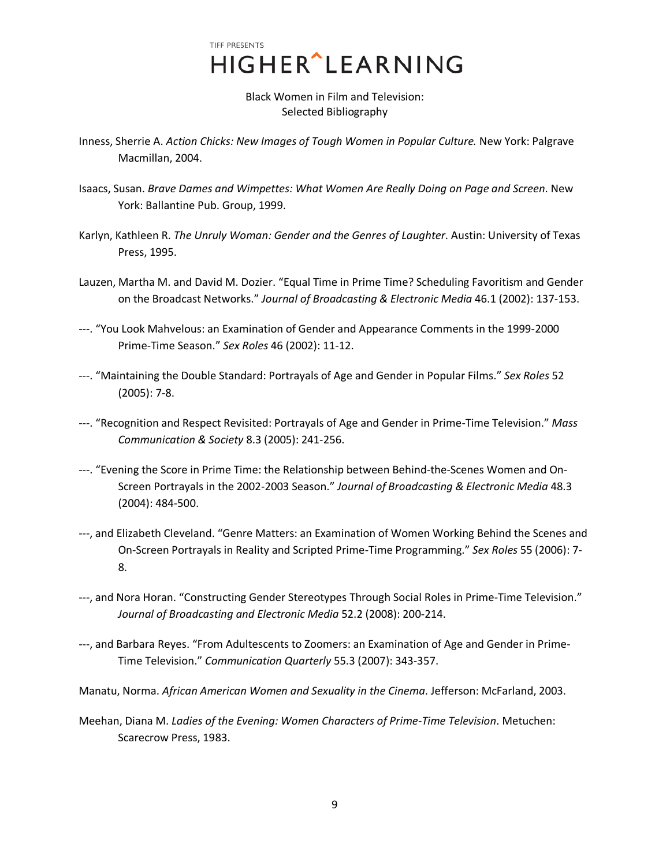> Black Women in Film and Television: Selected Bibliography

- Inness, Sherrie A. *Action Chicks: New Images of Tough Women in Popular Culture.* New York: Palgrave Macmillan, 2004.
- Isaacs, Susan. *Brave Dames and Wimpettes: What Women Are Really Doing on Page and Screen*. New York: Ballantine Pub. Group, 1999.
- Karlyn, Kathleen R. *The Unruly Woman: Gender and the Genres of Laughter*. Austin: University of Texas Press, 1995.
- Lauzen, Martha M. and David M. Dozier. "Equal Time in Prime Time? Scheduling Favoritism and Gender on the Broadcast Networks." *Journal of Broadcasting & Electronic Media* 46.1 (2002): 137-153.
- ---. "You Look Mahvelous: an Examination of Gender and Appearance Comments in the 1999-2000 Prime-Time Season." *Sex Roles* 46 (2002): 11-12.
- ---. "Maintaining the Double Standard: Portrayals of Age and Gender in Popular Films." *Sex Roles* 52 (2005): 7-8.
- ---. "Recognition and Respect Revisited: Portrayals of Age and Gender in Prime-Time Television." *Mass Communication & Society* 8.3 (2005): 241-256.
- ---. "Evening the Score in Prime Time: the Relationship between Behind-the-Scenes Women and On-Screen Portrayals in the 2002-2003 Season." *Journal of Broadcasting & Electronic Media* 48.3 (2004): 484-500.
- ---, and Elizabeth Cleveland. "Genre Matters: an Examination of Women Working Behind the Scenes and On-Screen Portrayals in Reality and Scripted Prime-Time Programming." *Sex Roles* 55 (2006): 7- 8.
- ---, and Nora Horan. "Constructing Gender Stereotypes Through Social Roles in Prime-Time Television." *Journal of Broadcasting and Electronic Media* 52.2 (2008): 200-214.
- ---, and Barbara Reyes. "From Adultescents to Zoomers: an Examination of Age and Gender in Prime-Time Television." *Communication Quarterly* 55.3 (2007): 343-357.
- Manatu, Norma. *African American Women and Sexuality in the Cinema*. Jefferson: McFarland, 2003.
- Meehan, Diana M. *Ladies of the Evening: Women Characters of Prime-Time Television*. Metuchen: Scarecrow Press, 1983.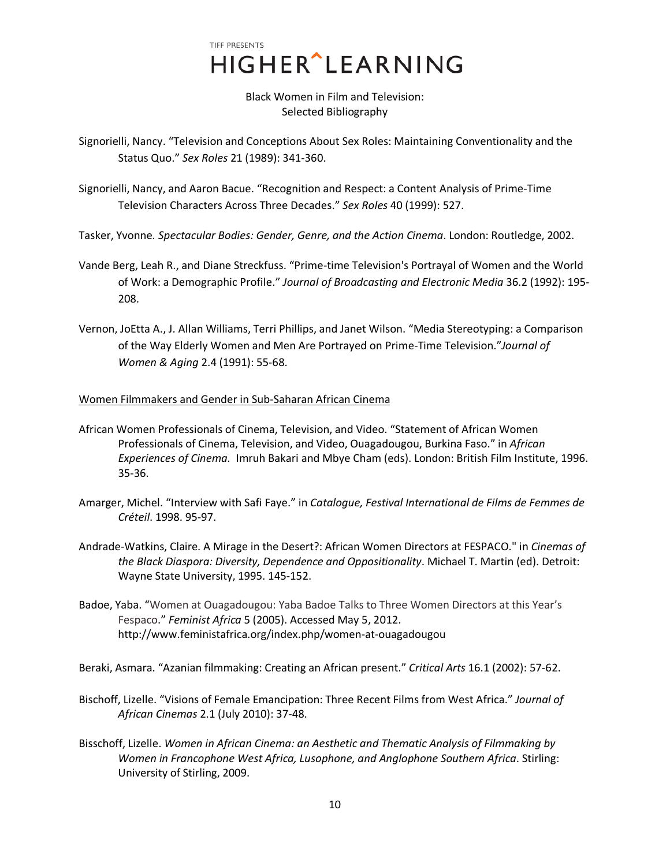> Black Women in Film and Television: Selected Bibliography

- Signorielli, Nancy. "Television and Conceptions About Sex Roles: Maintaining Conventionality and the Status Quo." *Sex Roles* 21 (1989): 341-360.
- Signorielli, Nancy, and Aaron Bacue. "Recognition and Respect: a Content Analysis of Prime-Time Television Characters Across Three Decades." *Sex Roles* 40 (1999): 527.
- Tasker, Yvonne*. Spectacular Bodies: Gender, Genre, and the Action Cinema*. London: Routledge, 2002.
- Vande Berg, Leah R., and Diane Streckfuss. "Prime-time Television's Portrayal of Women and the World of Work: a Demographic Profile." *Journal of Broadcasting and Electronic Media* 36.2 (1992): 195- 208.
- Vernon, JoEtta A., J. Allan Williams, Terri Phillips, and Janet Wilson. "Media Stereotyping: a Comparison of the Way Elderly Women and Men Are Portrayed on Prime-Time Television."*Journal of Women & Aging* 2.4 (1991): 55-68.

### Women Filmmakers and Gender in Sub-Saharan African Cinema

- African Women Professionals of Cinema, Television, and Video. "Statement of African Women Professionals of Cinema, Television, and Video, Ouagadougou, Burkina Faso." in *African Experiences of Cinema.* Imruh Bakari and Mbye Cham (eds). London: British Film Institute, 1996. 35-36.
- Amarger, Michel. "Interview with Safi Faye." in *Catalogue, Festival International de Films de Femmes de Créteil*. 1998. 95-97.
- Andrade-Watkins, Claire. A Mirage in the Desert?: African Women Directors at FESPACO." in *Cinemas of the Black Diaspora: Diversity, Dependence and Oppositionality*. Michael T. Martin (ed). Detroit: Wayne State University, 1995. 145-152.
- Badoe, Yaba. ["Women at Ouagadougou: Yaba Badoe Talks to Three Women Directors at this Year's](http://www.feministafrica.org/index.php/women-at-ouagadougou)  [Fespaco.](http://www.feministafrica.org/index.php/women-at-ouagadougou)" *Feminist Africa* 5 (2005). Accessed May 5, 2012. http://www.feministafrica.org/index.php/women-at-ouagadougou

Beraki, Asmara. "Azanian filmmaking: Creating an African present." *Critical Arts* 16.1 (2002): 57-62.

- Bischoff, Lizelle. "Visions of Female Emancipation: Three Recent Films from West Africa." *Journal of African Cinemas* 2.1 (July 2010): 37-48.
- Bisschoff, Lizelle. *Women in African Cinema: an Aesthetic and Thematic Analysis of Filmmaking by Women in Francophone West Africa, Lusophone, and Anglophone Southern Africa*. Stirling: University of Stirling, 2009.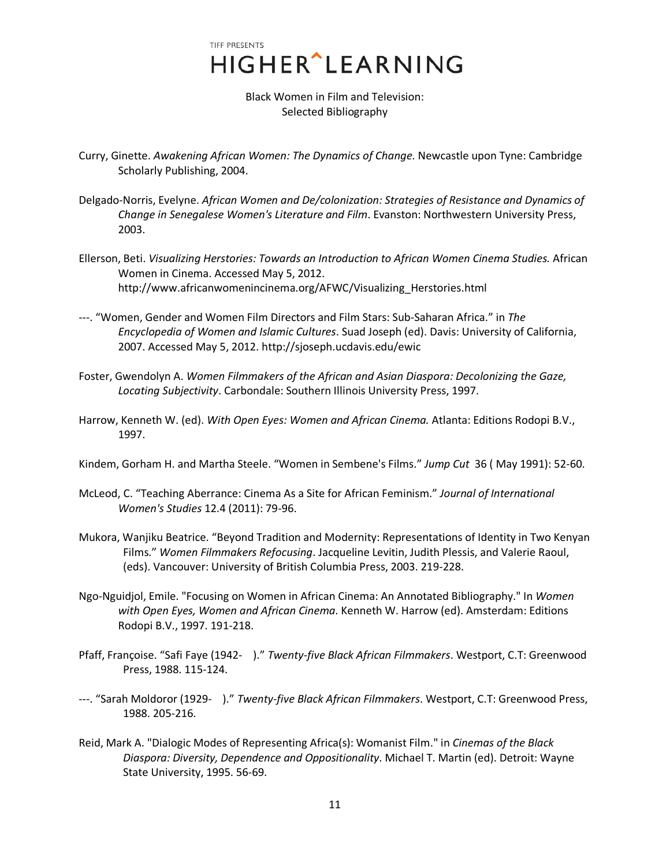# TIFF PRESENTS HIGHER^LEARNING

Black Women in Film and Television: Selected Bibliography

- Curry, Ginette. *Awakening African Women: The Dynamics of Change.* Newcastle upon Tyne: Cambridge Scholarly Publishing, 2004.
- Delgado-Norris, Evelyne. *African Women and De/colonization: Strategies of Resistance and Dynamics of Change in Senegalese Women's Literature and Film*. Evanston: Northwestern University Press, 2003.
- Ellerson, Beti. *Visualizing Herstories: Towards an Introduction to African Women Cinema Studies.* African Women in Cinema. Accessed May 5, 2012. http://www.africanwomenincinema.org/AFWC/Visualizing\_Herstories.html
- ---. "Women, [Gender and Women Film Directors and Film Stars: Sub-Saharan Africa.](http://www.africanwomenincinema.org/AFWC/WmnIslam.html)" in *The Encyclopedia of Women and Islamic Cultures*. Suad Joseph (ed). Davis: University of California, 2007. Accessed May 5, 2012. http://sjoseph.ucdavis.edu/ewic
- Foster, Gwendolyn A. *Women Filmmakers of the African and Asian Diaspora: Decolonizing the Gaze, Locating Subjectivity*. Carbondale: Southern Illinois University Press, 1997.
- Harrow, Kenneth W. (ed). *With Open Eyes: Women and African Cinema.* Atlanta: Editions Rodopi B.V., 1997.
- Kindem, Gorham H. and Martha Steele. "Women in Sembene's Films." *Jump Cut* 36 ( May 1991): 52-60.
- McLeod, C. "Teaching Aberrance: Cinema As a Site for African Feminism." *Journal of International Women's Studies* 12.4 (2011): 79-96.
- Mukora, Wanjiku Beatrice. "Beyond Tradition and Modernity: Representations of Identity in Two Kenyan Films." *Women Filmmakers Refocusing*. Jacqueline Levitin, Judith Plessis, and Valerie Raoul, (eds). Vancouver: University of British Columbia Press, 2003. 219-228.
- Ngo-Nguidjol, Emile. "Focusing on Women in African Cinema: An Annotated Bibliography." In *Women with Open Eyes, Women and African Cinema*. Kenneth W. Harrow (ed). Amsterdam: Editions Rodopi B.V., 1997. 191-218.
- Pfaff, Françoise. "Safi Faye (1942- )." *Twenty-five Black African Filmmakers*. Westport, C.T: Greenwood Press, 1988. 115-124.
- ---. "Sarah Moldoror (1929- )." *Twenty-five Black African Filmmakers*. Westport, C.T: Greenwood Press, 1988. 205-216.
- Reid, Mark A. "Dialogic Modes of Representing Africa(s): Womanist Film." in *Cinemas of the Black Diaspora: Diversity, Dependence and Oppositionality*. Michael T. Martin (ed). Detroit: Wayne State University, 1995. 56-69.